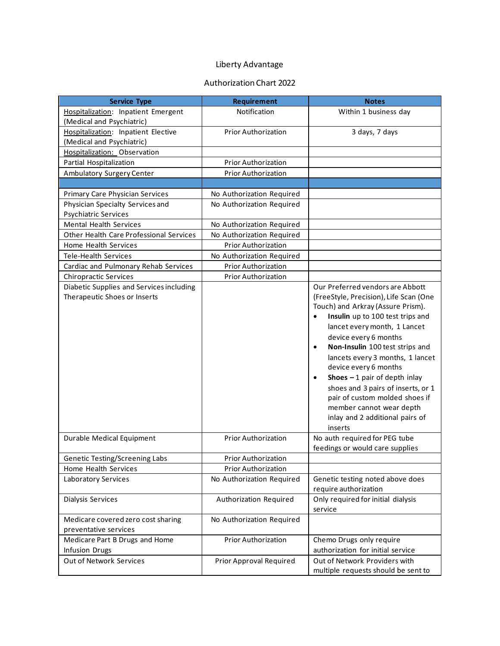## Liberty Advantage

## Authorization Chart 2022

| <b>Service Type</b>                                                      | Requirement                | <b>Notes</b>                                                                                                                                                                                                                                                                                                                                                                                                                                                                                                                            |
|--------------------------------------------------------------------------|----------------------------|-----------------------------------------------------------------------------------------------------------------------------------------------------------------------------------------------------------------------------------------------------------------------------------------------------------------------------------------------------------------------------------------------------------------------------------------------------------------------------------------------------------------------------------------|
| Hospitalization: Inpatient Emergent                                      | Notification               | Within 1 business day                                                                                                                                                                                                                                                                                                                                                                                                                                                                                                                   |
| (Medical and Psychiatric)                                                |                            |                                                                                                                                                                                                                                                                                                                                                                                                                                                                                                                                         |
| Hospitalization: Inpatient Elective                                      | <b>Prior Authorization</b> | 3 days, 7 days                                                                                                                                                                                                                                                                                                                                                                                                                                                                                                                          |
| (Medical and Psychiatric)                                                |                            |                                                                                                                                                                                                                                                                                                                                                                                                                                                                                                                                         |
| Hospitalization: Observation                                             |                            |                                                                                                                                                                                                                                                                                                                                                                                                                                                                                                                                         |
| Partial Hospitalization                                                  | Prior Authorization        |                                                                                                                                                                                                                                                                                                                                                                                                                                                                                                                                         |
| Ambulatory Surgery Center                                                | <b>Prior Authorization</b> |                                                                                                                                                                                                                                                                                                                                                                                                                                                                                                                                         |
|                                                                          |                            |                                                                                                                                                                                                                                                                                                                                                                                                                                                                                                                                         |
| Primary Care Physician Services                                          | No Authorization Required  |                                                                                                                                                                                                                                                                                                                                                                                                                                                                                                                                         |
| Physician Specialty Services and                                         | No Authorization Required  |                                                                                                                                                                                                                                                                                                                                                                                                                                                                                                                                         |
| <b>Psychiatric Services</b>                                              |                            |                                                                                                                                                                                                                                                                                                                                                                                                                                                                                                                                         |
| <b>Mental Health Services</b>                                            | No Authorization Required  |                                                                                                                                                                                                                                                                                                                                                                                                                                                                                                                                         |
| Other Health Care Professional Services                                  | No Authorization Required  |                                                                                                                                                                                                                                                                                                                                                                                                                                                                                                                                         |
| Home Health Services                                                     | <b>Prior Authorization</b> |                                                                                                                                                                                                                                                                                                                                                                                                                                                                                                                                         |
| <b>Tele-Health Services</b>                                              | No Authorization Required  |                                                                                                                                                                                                                                                                                                                                                                                                                                                                                                                                         |
| Cardiac and Pulmonary Rehab Services                                     | <b>Prior Authorization</b> |                                                                                                                                                                                                                                                                                                                                                                                                                                                                                                                                         |
| Chiropractic Services                                                    | <b>Prior Authorization</b> |                                                                                                                                                                                                                                                                                                                                                                                                                                                                                                                                         |
| Diabetic Supplies and Services including<br>Therapeutic Shoes or Inserts |                            | Our Preferred vendors are Abbott<br>(FreeStyle, Precision), Life Scan (One<br>Touch) and Arkray (Assure Prism).<br>Insulin up to 100 test trips and<br>$\bullet$<br>lancet every month, 1 Lancet<br>device every 6 months<br>Non-Insulin 100 test strips and<br>$\bullet$<br>lancets every 3 months, 1 lancet<br>device every 6 months<br>Shoes $-1$ pair of depth inlay<br>$\bullet$<br>shoes and 3 pairs of inserts, or 1<br>pair of custom molded shoes if<br>member cannot wear depth<br>inlay and 2 additional pairs of<br>inserts |
| Durable Medical Equipment                                                | <b>Prior Authorization</b> | No auth required for PEG tube<br>feedings or would care supplies                                                                                                                                                                                                                                                                                                                                                                                                                                                                        |
| Genetic Testing/Screening Labs                                           | <b>Prior Authorization</b> |                                                                                                                                                                                                                                                                                                                                                                                                                                                                                                                                         |
| Home Health Services                                                     | Prior Authorization        |                                                                                                                                                                                                                                                                                                                                                                                                                                                                                                                                         |
| <b>Laboratory Services</b>                                               | No Authorization Required  | Genetic testing noted above does                                                                                                                                                                                                                                                                                                                                                                                                                                                                                                        |
|                                                                          |                            | require authorization                                                                                                                                                                                                                                                                                                                                                                                                                                                                                                                   |
| Dialysis Services                                                        | Authorization Required     | Only required for initial dialysis<br>service                                                                                                                                                                                                                                                                                                                                                                                                                                                                                           |
| Medicare covered zero cost sharing                                       | No Authorization Required  |                                                                                                                                                                                                                                                                                                                                                                                                                                                                                                                                         |
| preventative services                                                    |                            |                                                                                                                                                                                                                                                                                                                                                                                                                                                                                                                                         |
| Medicare Part B Drugs and Home                                           | Prior Authorization        | Chemo Drugs only require                                                                                                                                                                                                                                                                                                                                                                                                                                                                                                                |
| Infusion Drugs                                                           |                            | authorization for initial service                                                                                                                                                                                                                                                                                                                                                                                                                                                                                                       |
| Out of Network Services                                                  | Prior Approval Required    | Out of Network Providers with                                                                                                                                                                                                                                                                                                                                                                                                                                                                                                           |
|                                                                          |                            | multiple requests should be sent to                                                                                                                                                                                                                                                                                                                                                                                                                                                                                                     |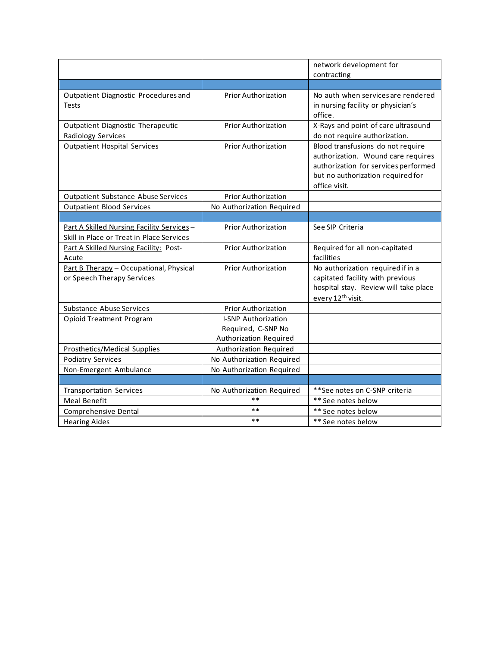|                                                                                        |                                                                            | network development for                                                                                                                                               |
|----------------------------------------------------------------------------------------|----------------------------------------------------------------------------|-----------------------------------------------------------------------------------------------------------------------------------------------------------------------|
|                                                                                        |                                                                            | contracting                                                                                                                                                           |
|                                                                                        |                                                                            |                                                                                                                                                                       |
| Outpatient Diagnostic Procedures and<br>Tests                                          | <b>Prior Authorization</b>                                                 | No auth when services are rendered<br>in nursing facility or physician's<br>office.                                                                                   |
| Outpatient Diagnostic Therapeutic<br>Radiology Services                                | <b>Prior Authorization</b>                                                 | X-Rays and point of care ultrasound<br>do not require authorization.                                                                                                  |
| <b>Outpatient Hospital Services</b>                                                    | <b>Prior Authorization</b>                                                 | Blood transfusions do not require<br>authorization. Wound care requires<br>authorization for services performed<br>but no authorization required for<br>office visit. |
| <b>Outpatient Substance Abuse Services</b>                                             | <b>Prior Authorization</b>                                                 |                                                                                                                                                                       |
| <b>Outpatient Blood Services</b>                                                       | No Authorization Required                                                  |                                                                                                                                                                       |
|                                                                                        |                                                                            |                                                                                                                                                                       |
| Part A Skilled Nursing Facility Services-<br>Skill in Place or Treat in Place Services | <b>Prior Authorization</b>                                                 | See SIP Criteria                                                                                                                                                      |
| Part A Skilled Nursing Facility: Post-<br>Acute                                        | <b>Prior Authorization</b>                                                 | Required for all non-capitated<br>facilities                                                                                                                          |
| Part B Therapy - Occupational, Physical<br>or Speech Therapy Services                  | <b>Prior Authorization</b>                                                 | No authorization required if in a<br>capitated facility with previous<br>hospital stay. Review will take place<br>every 12 <sup>th</sup> visit.                       |
| <b>Substance Abuse Services</b>                                                        | <b>Prior Authorization</b>                                                 |                                                                                                                                                                       |
| <b>Opioid Treatment Program</b>                                                        | <b>I-SNP Authorization</b><br>Required, C-SNP No<br>Authorization Required |                                                                                                                                                                       |
| Prosthetics/Medical Supplies                                                           | Authorization Required                                                     |                                                                                                                                                                       |
| <b>Podiatry Services</b>                                                               | No Authorization Required                                                  |                                                                                                                                                                       |
| Non-Emergent Ambulance                                                                 | No Authorization Required                                                  |                                                                                                                                                                       |
|                                                                                        |                                                                            |                                                                                                                                                                       |
| <b>Transportation Services</b>                                                         | No Authorization Required                                                  | **See notes on C-SNP criteria                                                                                                                                         |
| Meal Benefit                                                                           | $**$                                                                       | ** See notes below                                                                                                                                                    |
| Comprehensive Dental                                                                   | **                                                                         | ** See notes below                                                                                                                                                    |
| <b>Hearing Aides</b>                                                                   | $* *$                                                                      | ** See notes below                                                                                                                                                    |